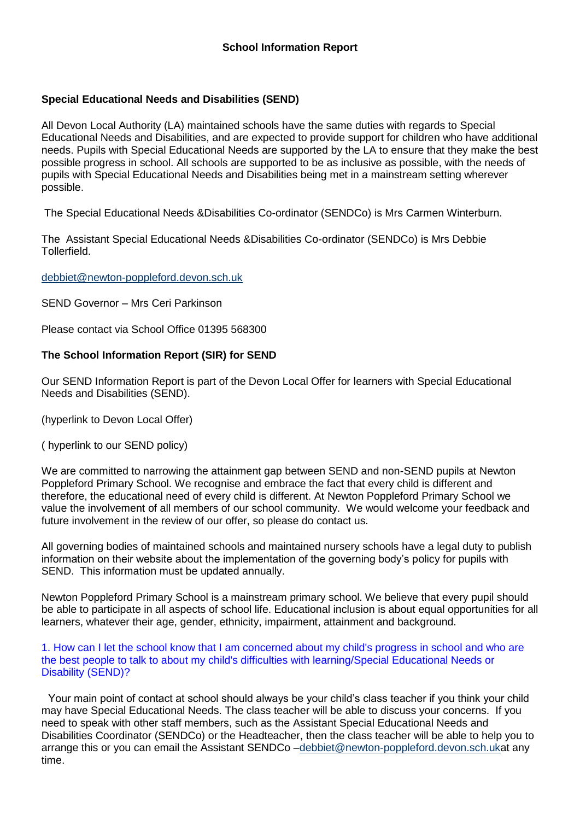# **Special Educational Needs and Disabilities (SEND)**

All Devon Local Authority (LA) maintained schools have the same duties with regards to Special Educational Needs and Disabilities, and are expected to provide support for children who have additional needs. Pupils with Special Educational Needs are supported by the LA to ensure that they make the best possible progress in school. All schools are supported to be as inclusive as possible, with the needs of pupils with Special Educational Needs and Disabilities being met in a mainstream setting wherever possible.

The Special Educational Needs &Disabilities Co-ordinator (SENDCo) is Mrs Carmen Winterburn.

The Assistant Special Educational Needs &Disabilities Co-ordinator (SENDCo) is Mrs Debbie Tollerfield.

### debbiet@newton-poppleford.devon.sch.uk

SEND Governor – Mrs Ceri Parkinson

Please contact via School Office 01395 568300

# **The School Information Report (SIR) for SEND**

Our SEND Information Report is part of the Devon Local Offer for learners with Special Educational Needs and Disabilities (SEND).

(hyperlink to Devon Local Offer)

( hyperlink to our SEND policy)

We are committed to narrowing the attainment gap between SEND and non-SEND pupils at Newton Poppleford Primary School. We recognise and embrace the fact that every child is different and therefore, the educational need of every child is different. At Newton Poppleford Primary School we value the involvement of all members of our school community. We would welcome your feedback and future involvement in the review of our offer, so please do contact us.

All governing bodies of maintained schools and maintained nursery schools have a legal duty to publish information on their website about the implementation of the governing body's policy for pupils with SEND. This information must be updated annually.

Newton Poppleford Primary School is a mainstream primary school. We believe that every pupil should be able to participate in all aspects of school life. Educational inclusion is about equal opportunities for all learners, whatever their age, gender, ethnicity, impairment, attainment and background.

1. How can I let the school know that I am concerned about my child's progress in school and who are the best people to talk to about my child's difficulties with learning/Special Educational Needs or Disability (SEND)?

• Your main point of contact at school should always be your child's class teacher if you think your child may have Special Educational Needs. The class teacher will be able to discuss your concerns. If you need to speak with other staff members, such as the Assistant Special Educational Needs and Disabilities Coordinator (SENDCo) or the Headteacher, then the class teacher will be able to help you to arrange this or you can email the Assistant SENDCo –debbiet@newton-poppleford.devon.sch.ukat any time.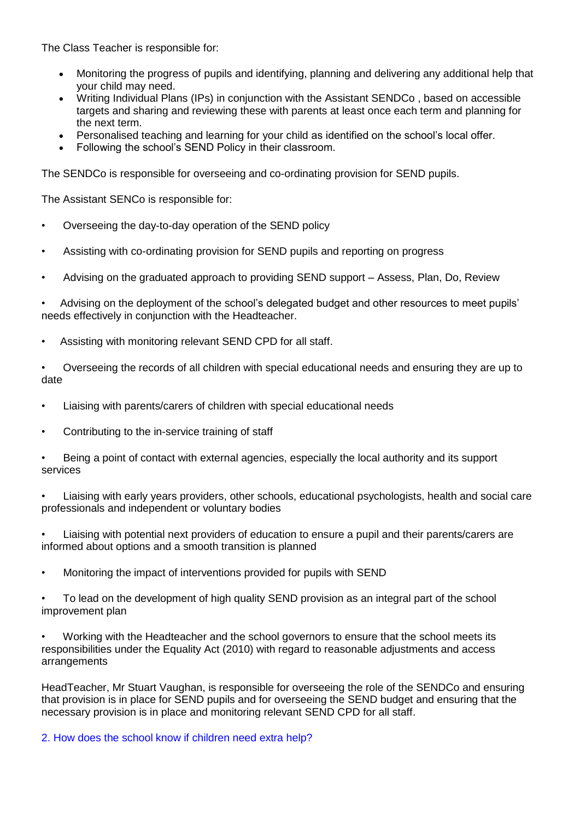The Class Teacher is responsible for:

- Monitoring the progress of pupils and identifying, planning and delivering any additional help that your child may need.
- Writing Individual Plans (IPs) in conjunction with the Assistant SENDCo , based on accessible targets and sharing and reviewing these with parents at least once each term and planning for the next term.
- Personalised teaching and learning for your child as identified on the school's local offer.
- Following the school's SEND Policy in their classroom.

The SENDCo is responsible for overseeing and co-ordinating provision for SEND pupils.

The Assistant SENCo is responsible for:

- Overseeing the day-to-day operation of the SEND policy
- Assisting with co-ordinating provision for SEND pupils and reporting on progress
- Advising on the graduated approach to providing SEND support Assess, Plan, Do, Review

• Advising on the deployment of the school's delegated budget and other resources to meet pupils' needs effectively in conjunction with the Headteacher.

- Assisting with monitoring relevant SEND CPD for all staff.
- Overseeing the records of all children with special educational needs and ensuring they are up to date
- Liaising with parents/carers of children with special educational needs
- Contributing to the in-service training of staff

• Being a point of contact with external agencies, especially the local authority and its support services

• Liaising with early years providers, other schools, educational psychologists, health and social care professionals and independent or voluntary bodies

• Liaising with potential next providers of education to ensure a pupil and their parents/carers are informed about options and a smooth transition is planned

• Monitoring the impact of interventions provided for pupils with SEND

• To lead on the development of high quality SEND provision as an integral part of the school improvement plan

• Working with the Headteacher and the school governors to ensure that the school meets its responsibilities under the Equality Act (2010) with regard to reasonable adjustments and access arrangements

HeadTeacher, Mr Stuart Vaughan, is responsible for overseeing the role of the SENDCo and ensuring that provision is in place for SEND pupils and for overseeing the SEND budget and ensuring that the necessary provision is in place and monitoring relevant SEND CPD for all staff.

## 2. How does the school know if children need extra help?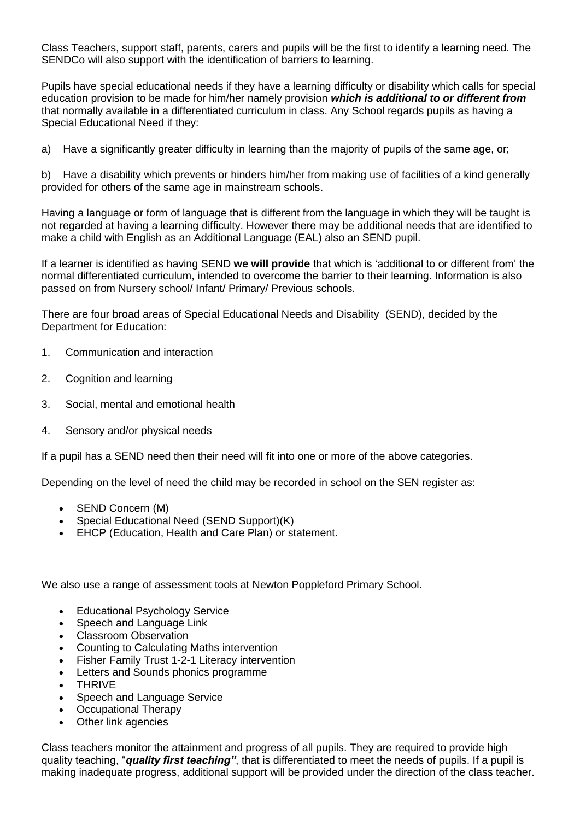Class Teachers, support staff, parents, carers and pupils will be the first to identify a learning need. The SENDCo will also support with the identification of barriers to learning.

Pupils have special educational needs if they have a learning difficulty or disability which calls for special education provision to be made for him/her namely provision *which is additional to or different from*  that normally available in a differentiated curriculum in class. Any School regards pupils as having a Special Educational Need if they:

a) Have a significantly greater difficulty in learning than the majority of pupils of the same age, or;

b) Have a disability which prevents or hinders him/her from making use of facilities of a kind generally provided for others of the same age in mainstream schools.

Having a language or form of language that is different from the language in which they will be taught is not regarded at having a learning difficulty. However there may be additional needs that are identified to make a child with English as an Additional Language (EAL) also an SEND pupil.

If a learner is identified as having SEND **we will provide** that which is 'additional to or different from' the normal differentiated curriculum, intended to overcome the barrier to their learning. Information is also passed on from Nursery school/ Infant/ Primary/ Previous schools.

There are four broad areas of Special Educational Needs and Disability (SEND), decided by the Department for Education:

- 1. Communication and interaction
- 2. Cognition and learning
- 3. Social, mental and emotional health
- 4. Sensory and/or physical needs

If a pupil has a SEND need then their need will fit into one or more of the above categories.

Depending on the level of need the child may be recorded in school on the SEN register as:

- SEND Concern (M)
- Special Educational Need (SEND Support)(K)
- EHCP (Education, Health and Care Plan) or statement.

We also use a range of assessment tools at Newton Poppleford Primary School.

- Educational Psychology Service
- Speech and Language Link
- Classroom Observation
- Counting to Calculating Maths intervention
- Fisher Family Trust 1-2-1 Literacy intervention
- Letters and Sounds phonics programme
- THRIVE
- Speech and Language Service
- Occupational Therapy
- Other link agencies

Class teachers monitor the attainment and progress of all pupils. They are required to provide high quality teaching, "*quality first teaching"*, that is differentiated to meet the needs of pupils. If a pupil is making inadequate progress, additional support will be provided under the direction of the class teacher.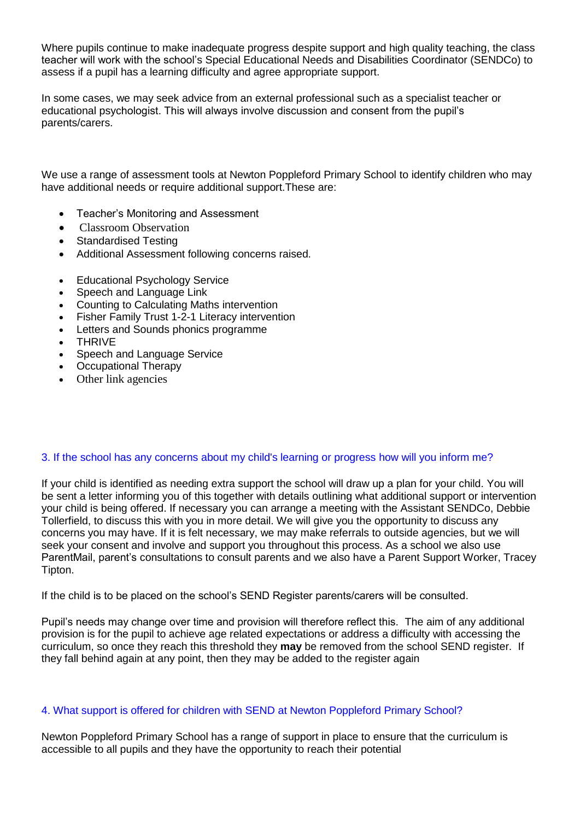Where pupils continue to make inadequate progress despite support and high quality teaching, the class teacher will work with the school's Special Educational Needs and Disabilities Coordinator (SENDCo) to assess if a pupil has a learning difficulty and agree appropriate support.

In some cases, we may seek advice from an external professional such as a specialist teacher or educational psychologist. This will always involve discussion and consent from the pupil's parents/carers.

We use a range of assessment tools at Newton Poppleford Primary School to identify children who may have additional needs or require additional support.These are:

- Teacher's Monitoring and Assessment
- Classroom Observation
- Standardised Testing
- Additional Assessment following concerns raised.
- Educational Psychology Service
- Speech and Language Link
- Counting to Calculating Maths intervention
- Fisher Family Trust 1-2-1 Literacy intervention
- Letters and Sounds phonics programme
- THRIVE
- Speech and Language Service
- Occupational Therapy
- Other link agencies

## 3. If the school has any concerns about my child's learning or progress how will you inform me?

If your child is identified as needing extra support the school will draw up a plan for your child. You will be sent a letter informing you of this together with details outlining what additional support or intervention your child is being offered. If necessary you can arrange a meeting with the Assistant SENDCo, Debbie Tollerfield, to discuss this with you in more detail. We will give you the opportunity to discuss any concerns you may have. If it is felt necessary, we may make referrals to outside agencies, but we will seek your consent and involve and support you throughout this process. As a school we also use ParentMail, parent's consultations to consult parents and we also have a Parent Support Worker, Tracey Tipton.

If the child is to be placed on the school's SEND Register parents/carers will be consulted.

Pupil's needs may change over time and provision will therefore reflect this. The aim of any additional provision is for the pupil to achieve age related expectations or address a difficulty with accessing the curriculum, so once they reach this threshold they **may** be removed from the school SEND register. If they fall behind again at any point, then they may be added to the register again

## 4. What support is offered for children with SEND at Newton Poppleford Primary School?

Newton Poppleford Primary School has a range of support in place to ensure that the curriculum is accessible to all pupils and they have the opportunity to reach their potential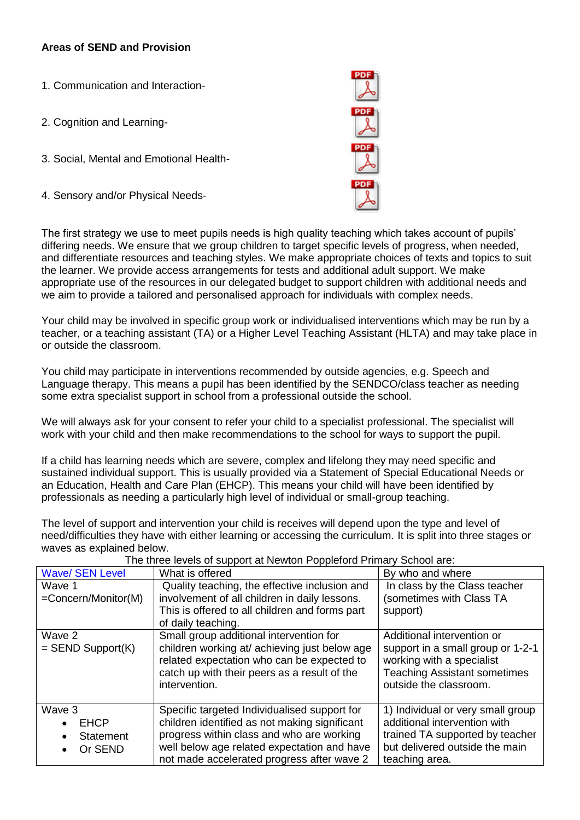# **Areas of SEND and Provision**

| 1. Communication and Interaction-       |  |
|-----------------------------------------|--|
| 2. Cognition and Learning-              |  |
| 3. Social, Mental and Emotional Health- |  |
| 4. Sensory and/or Physical Needs-       |  |

The first strategy we use to meet pupils needs is high quality teaching which takes account of pupils' differing needs. We ensure that we group children to target specific levels of progress, when needed, and differentiate resources and teaching styles. We make appropriate choices of texts and topics to suit the learner. We provide access arrangements for tests and additional adult support. We make appropriate use of the resources in our delegated budget to support children with additional needs and we aim to provide a tailored and personalised approach for individuals with complex needs.

Your child may be involved in specific group work or individualised interventions which may be run by a teacher, or a teaching assistant (TA) or a Higher Level Teaching Assistant (HLTA) and may take place in or outside the classroom.

You child may participate in interventions recommended by outside agencies, e.g. Speech and Language therapy. This means a pupil has been identified by the SENDCO/class teacher as needing some extra specialist support in school from a professional outside the school.

We will always ask for your consent to refer your child to a specialist professional. The specialist will work with your child and then make recommendations to the school for ways to support the pupil.

If a child has learning needs which are severe, complex and lifelong they may need specific and sustained individual support. This is usually provided via a Statement of Special Educational Needs or an Education, Health and Care Plan (EHCP). This means your child will have been identified by professionals as needing a particularly high level of individual or small-group teaching.

The level of support and intervention your child is receives will depend upon the type and level of need/difficulties they have with either learning or accessing the curriculum. It is split into three stages or waves as explained below.

| <b>Wave/ SEN Level</b>                                     | What is offered                                                                                                                                                                                                                         | By who and where                                                                                                                                              |
|------------------------------------------------------------|-----------------------------------------------------------------------------------------------------------------------------------------------------------------------------------------------------------------------------------------|---------------------------------------------------------------------------------------------------------------------------------------------------------------|
| Wave 1                                                     | Quality teaching, the effective inclusion and                                                                                                                                                                                           | In class by the Class teacher                                                                                                                                 |
| =Concern/Monitor(M)                                        | involvement of all children in daily lessons.                                                                                                                                                                                           | (sometimes with Class TA                                                                                                                                      |
|                                                            | This is offered to all children and forms part                                                                                                                                                                                          | support)                                                                                                                                                      |
|                                                            | of daily teaching.                                                                                                                                                                                                                      |                                                                                                                                                               |
| Wave 2<br>$=$ SEND Support(K)                              | Small group additional intervention for<br>children working at/ achieving just below age<br>related expectation who can be expected to<br>catch up with their peers as a result of the<br>intervention.                                 | Additional intervention or<br>support in a small group or 1-2-1<br>working with a specialist<br><b>Teaching Assistant sometimes</b><br>outside the classroom. |
| Wave 3<br><b>EHCP</b><br>Statement<br>$\bullet$<br>Or SEND | Specific targeted Individualised support for<br>children identified as not making significant<br>progress within class and who are working<br>well below age related expectation and have<br>not made accelerated progress after wave 2 | 1) Individual or very small group<br>additional intervention with<br>trained TA supported by teacher<br>but delivered outside the main<br>teaching area.      |

The three levels of support at Newton Poppleford Primary School are: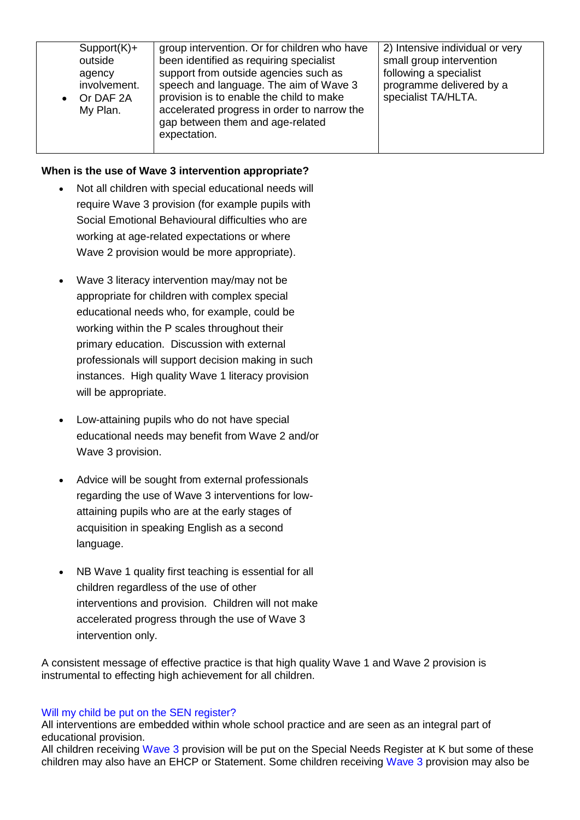| $Support(K)+$<br>outside<br>agency<br>involvement.<br>Or DAF 2A<br>My Plan. | group intervention. Or for children who have<br>been identified as requiring specialist<br>support from outside agencies such as<br>speech and language. The aim of Wave 3<br>provision is to enable the child to make<br>accelerated progress in order to narrow the<br>gap between them and age-related<br>expectation. | 2) Intensive individual or very<br>small group intervention<br>following a specialist<br>programme delivered by a<br>specialist TA/HLTA. |
|-----------------------------------------------------------------------------|---------------------------------------------------------------------------------------------------------------------------------------------------------------------------------------------------------------------------------------------------------------------------------------------------------------------------|------------------------------------------------------------------------------------------------------------------------------------------|
|                                                                             |                                                                                                                                                                                                                                                                                                                           |                                                                                                                                          |

## **When is the use of Wave 3 intervention appropriate?**

- Not all children with special educational needs will require Wave 3 provision (for example pupils with Social Emotional Behavioural difficulties who are working at age-related expectations or where Wave 2 provision would be more appropriate).
- Wave 3 literacy intervention may/may not be appropriate for children with complex special educational needs who, for example, could be working within the P scales throughout their primary education. Discussion with external professionals will support decision making in such instances. High quality Wave 1 literacy provision will be appropriate.
- Low-attaining pupils who do not have special educational needs may benefit from Wave 2 and/or Wave 3 provision.
- Advice will be sought from external professionals regarding the use of Wave 3 interventions for lowattaining pupils who are at the early stages of acquisition in speaking English as a second language.
- NB Wave 1 quality first teaching is essential for all children regardless of the use of other interventions and provision. Children will not make accelerated progress through the use of Wave 3 intervention only.

A consistent message of effective practice is that high quality Wave 1 and Wave 2 provision is instrumental to effecting high achievement for all children.

## Will my child be put on the SEN register?

All interventions are embedded within whole school practice and are seen as an integral part of educational provision.

All children receiving Wave 3 provision will be put on the Special Needs Register at K but some of these children may also have an EHCP or Statement. Some children receiving Wave 3 provision may also be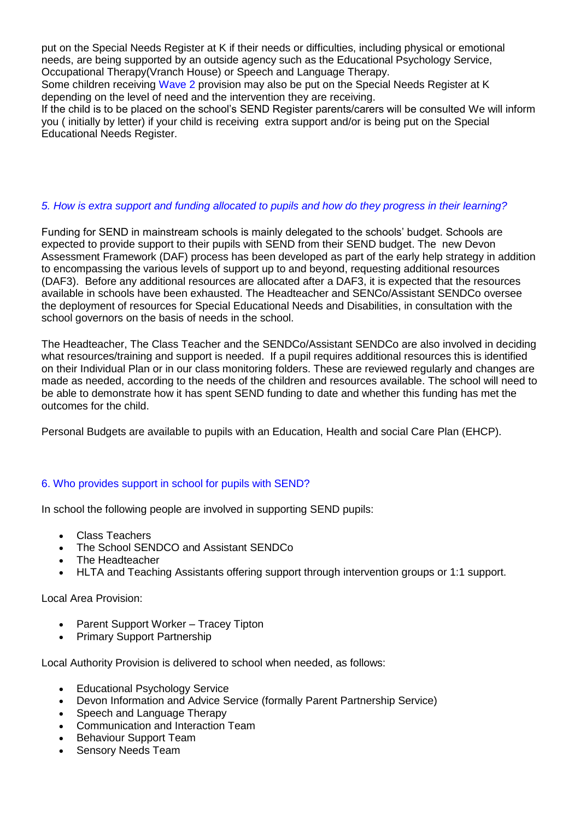put on the Special Needs Register at K if their needs or difficulties, including physical or emotional needs, are being supported by an outside agency such as the Educational Psychology Service, Occupational Therapy(Vranch House) or Speech and Language Therapy.

Some children receiving Wave 2 provision may also be put on the Special Needs Register at K depending on the level of need and the intervention they are receiving.

If the child is to be placed on the school's SEND Register parents/carers will be consulted We will inform you ( initially by letter) if your child is receiving extra support and/or is being put on the Special Educational Needs Register.

## *5. How is extra support and funding allocated to pupils and how do they progress in their learning?*

Funding for SEND in mainstream schools is mainly delegated to the schools' budget. Schools are expected to provide support to their pupils with SEND from their SEND budget. The new Devon Assessment Framework (DAF) process has been developed as part of the early help strategy in addition to encompassing the various levels of support up to and beyond, requesting additional resources (DAF3). Before any additional resources are allocated after a DAF3, it is expected that the resources available in schools have been exhausted. The Headteacher and SENCo/Assistant SENDCo oversee the deployment of resources for Special Educational Needs and Disabilities, in consultation with the school governors on the basis of needs in the school.

The Headteacher, The Class Teacher and the SENDCo/Assistant SENDCo are also involved in deciding what resources/training and support is needed. If a pupil requires additional resources this is identified on their Individual Plan or in our class monitoring folders. These are reviewed regularly and changes are made as needed, according to the needs of the children and resources available. The school will need to be able to demonstrate how it has spent SEND funding to date and whether this funding has met the outcomes for the child.

Personal Budgets are available to pupils with an Education, Health and social Care Plan (EHCP).

## 6. Who provides support in school for pupils with SEND?

In school the following people are involved in supporting SEND pupils:

- Class Teachers
- The School SENDCO and Assistant SENDCo
- The Headteacher
- HLTA and Teaching Assistants offering support through intervention groups or 1:1 support.

Local Area Provision:

- Parent Support Worker Tracey Tipton
- Primary Support Partnership

Local Authority Provision is delivered to school when needed, as follows:

- Educational Psychology Service
- Devon Information and Advice Service (formally Parent Partnership Service)
- Speech and Language Therapy
- Communication and Interaction Team
- Behaviour Support Team
- Sensory Needs Team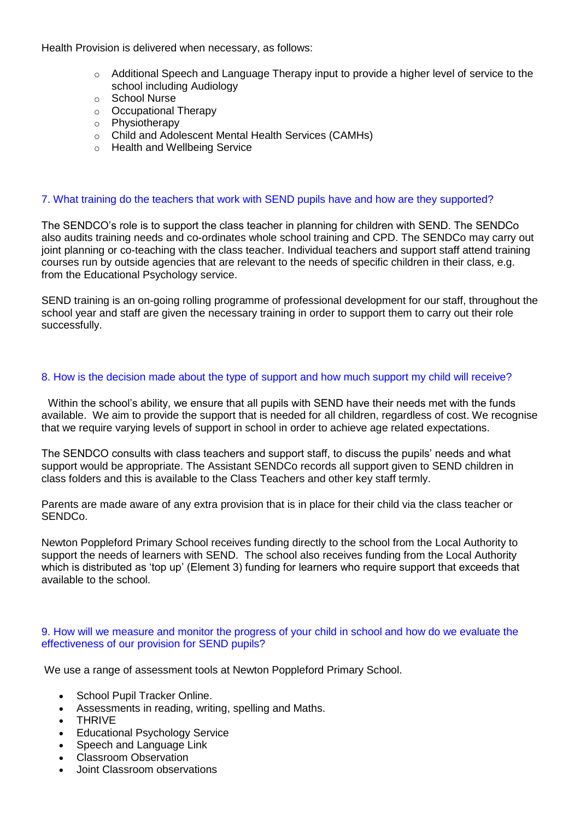Health Provision is delivered when necessary, as follows:

- $\circ$  Additional Speech and Language Therapy input to provide a higher level of service to the school including Audiology
- o School Nurse
- o Occupational Therapy
- o Physiotherapy
- o Child and Adolescent Mental Health Services (CAMHs)
- o Health and Wellbeing Service

### 7. What training do the teachers that work with SEND pupils have and how are they supported?

The SENDCO's role is to support the class teacher in planning for children with SEND. The SENDCo also audits training needs and co-ordinates whole school training and CPD. The SENDCo may carry out joint planning or co-teaching with the class teacher. Individual teachers and support staff attend training courses run by outside agencies that are relevant to the needs of specific children in their class, e.g. from the Educational Psychology service.

SEND training is an on-going rolling programme of professional development for our staff, throughout the school year and staff are given the necessary training in order to support them to carry out their role successfully.

### 8. How is the decision made about the type of support and how much support my child will receive?

• Within the school's ability, we ensure that all pupils with SEND have their needs met with the funds available. We aim to provide the support that is needed for all children, regardless of cost. We recognise that we require varying levels of support in school in order to achieve age related expectations.

The SENDCO consults with class teachers and support staff, to discuss the pupils' needs and what support would be appropriate. The Assistant SENDCo records all support given to SEND children in class folders and this is available to the Class Teachers and other key staff termly.

Parents are made aware of any extra provision that is in place for their child via the class teacher or SENDCo.

Newton Poppleford Primary School receives funding directly to the school from the Local Authority to support the needs of learners with SEND. The school also receives funding from the Local Authority which is distributed as 'top up' (Element 3) funding for learners who require support that exceeds that available to the school.

#### 9. How will we measure and monitor the progress of your child in school and how do we evaluate the effectiveness of our provision for SEND pupils?

We use a range of assessment tools at Newton Poppleford Primary School.

- School Pupil Tracker Online.
- Assessments in reading, writing, spelling and Maths.
- THRIVE
- Educational Psychology Service
- Speech and Language Link
- Classroom Observation
- Joint Classroom observations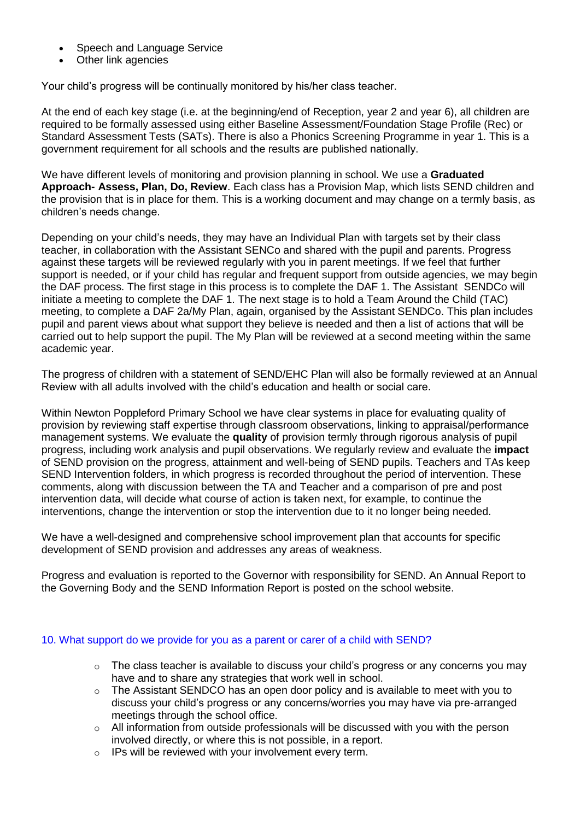- Speech and Language Service
- Other link agencies

Your child's progress will be continually monitored by his/her class teacher.

At the end of each key stage (i.e. at the beginning/end of Reception, year 2 and year 6), all children are required to be formally assessed using either Baseline Assessment/Foundation Stage Profile (Rec) or Standard Assessment Tests (SATs). There is also a Phonics Screening Programme in year 1. This is a government requirement for all schools and the results are published nationally.

We have different levels of monitoring and provision planning in school. We use a **Graduated Approach- Assess, Plan, Do, Review**. Each class has a Provision Map, which lists SEND children and the provision that is in place for them. This is a working document and may change on a termly basis, as children's needs change.

Depending on your child's needs, they may have an Individual Plan with targets set by their class teacher, in collaboration with the Assistant SENCo and shared with the pupil and parents. Progress against these targets will be reviewed regularly with you in parent meetings. If we feel that further support is needed, or if your child has regular and frequent support from outside agencies, we may begin the DAF process. The first stage in this process is to complete the DAF 1. The Assistant SENDCo will initiate a meeting to complete the DAF 1. The next stage is to hold a Team Around the Child (TAC) meeting, to complete a DAF 2a/My Plan, again, organised by the Assistant SENDCo. This plan includes pupil and parent views about what support they believe is needed and then a list of actions that will be carried out to help support the pupil. The My Plan will be reviewed at a second meeting within the same academic year.

The progress of children with a statement of SEND/EHC Plan will also be formally reviewed at an Annual Review with all adults involved with the child's education and health or social care.

Within Newton Poppleford Primary School we have clear systems in place for evaluating quality of provision by reviewing staff expertise through classroom observations, linking to appraisal/performance management systems. We evaluate the **quality** of provision termly through rigorous analysis of pupil progress, including work analysis and pupil observations. We regularly review and evaluate the **impact** of SEND provision on the progress, attainment and well-being of SEND pupils. Teachers and TAs keep SEND Intervention folders, in which progress is recorded throughout the period of intervention. These comments, along with discussion between the TA and Teacher and a comparison of pre and post intervention data, will decide what course of action is taken next, for example, to continue the interventions, change the intervention or stop the intervention due to it no longer being needed.

We have a well-designed and comprehensive school improvement plan that accounts for specific development of SEND provision and addresses any areas of weakness.

Progress and evaluation is reported to the Governor with responsibility for SEND. An Annual Report to the Governing Body and the SEND Information Report is posted on the school website.

#### 10. What support do we provide for you as a parent or carer of a child with SEND?

- $\circ$  The class teacher is available to discuss your child's progress or any concerns you may have and to share any strategies that work well in school.
- $\circ$  The Assistant SENDCO has an open door policy and is available to meet with you to discuss your child's progress or any concerns/worries you may have via pre-arranged meetings through the school office.
- $\circ$  All information from outside professionals will be discussed with you with the person involved directly, or where this is not possible, in a report.
- o IPs will be reviewed with your involvement every term.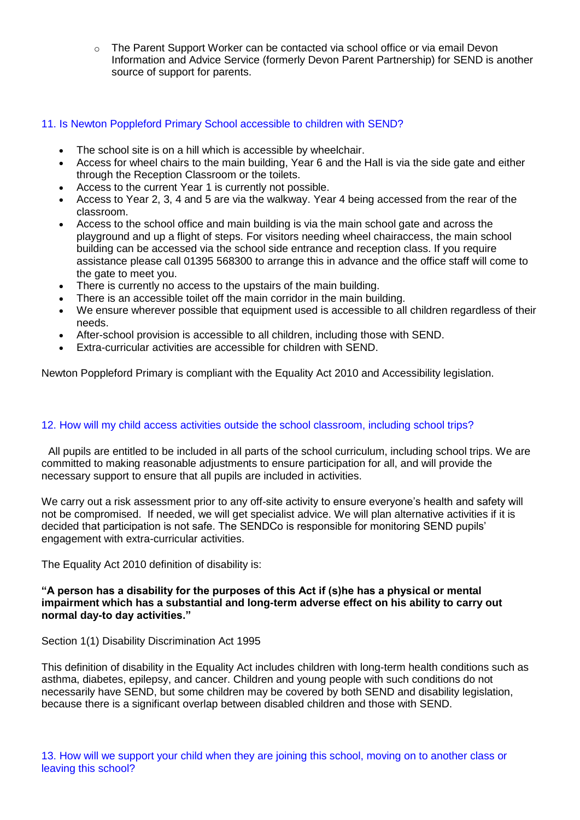o The Parent Support Worker can be contacted via school office or via email Devon Information and Advice Service (formerly Devon Parent Partnership) for SEND is another source of support for parents.

## 11. Is Newton Poppleford Primary School accessible to children with SEND?

- The school site is on a hill which is accessible by wheelchair.
- Access for wheel chairs to the main building, Year 6 and the Hall is via the side gate and either through the Reception Classroom or the toilets.
- Access to the current Year 1 is currently not possible.
- Access to Year 2, 3, 4 and 5 are via the walkway. Year 4 being accessed from the rear of the classroom.
- Access to the school office and main building is via the main school gate and across the playground and up a flight of steps. For visitors needing wheel chairaccess, the main school building can be accessed via the school side entrance and reception class. If you require assistance please call 01395 568300 to arrange this in advance and the office staff will come to the gate to meet you.
- There is currently no access to the upstairs of the main building.
- There is an accessible toilet off the main corridor in the main building.
- We ensure wherever possible that equipment used is accessible to all children regardless of their needs.
- After-school provision is accessible to all children, including those with SEND.
- Extra-curricular activities are accessible for children with SEND.

Newton Poppleford Primary is compliant with the Equality Act 2010 and Accessibility legislation.

## 12. How will my child access activities outside the school classroom, including school trips?

• All pupils are entitled to be included in all parts of the school curriculum, including school trips. We are committed to making reasonable adjustments to ensure participation for all, and will provide the necessary support to ensure that all pupils are included in activities.

We carry out a risk assessment prior to any off-site activity to ensure everyone's health and safety will not be compromised. If needed, we will get specialist advice. We will plan alternative activities if it is decided that participation is not safe. The SENDCo is responsible for monitoring SEND pupils' engagement with extra-curricular activities.

The Equality Act 2010 definition of disability is:

### **"A person has a disability for the purposes of this Act if (s)he has a physical or mental impairment which has a substantial and long-term adverse effect on his ability to carry out normal day-to day activities."**

#### Section 1(1) Disability Discrimination Act 1995

This definition of disability in the Equality Act includes children with long-term health conditions such as asthma, diabetes, epilepsy, and cancer. Children and young people with such conditions do not necessarily have SEND, but some children may be covered by both SEND and disability legislation, because there is a significant overlap between disabled children and those with SEND.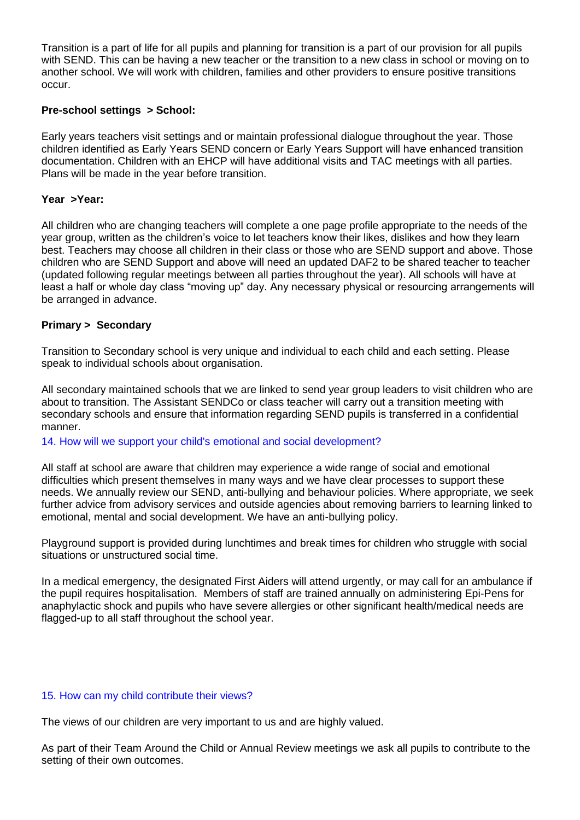Transition is a part of life for all pupils and planning for transition is a part of our provision for all pupils with SEND. This can be having a new teacher or the transition to a new class in school or moving on to another school. We will work with children, families and other providers to ensure positive transitions occur.

# **Pre-school settings > School:**

Early years teachers visit settings and or maintain professional dialogue throughout the year. Those children identified as Early Years SEND concern or Early Years Support will have enhanced transition documentation. Children with an EHCP will have additional visits and TAC meetings with all parties. Plans will be made in the year before transition.

### **Year >Year:**

All children who are changing teachers will complete a one page profile appropriate to the needs of the year group, written as the children's voice to let teachers know their likes, dislikes and how they learn best. Teachers may choose all children in their class or those who are SEND support and above. Those children who are SEND Support and above will need an updated DAF2 to be shared teacher to teacher (updated following regular meetings between all parties throughout the year). All schools will have at least a half or whole day class "moving up" day. Any necessary physical or resourcing arrangements will be arranged in advance.

### **Primary > Secondary**

Transition to Secondary school is very unique and individual to each child and each setting. Please speak to individual schools about organisation.

All secondary maintained schools that we are linked to send year group leaders to visit children who are about to transition. The Assistant SENDCo or class teacher will carry out a transition meeting with secondary schools and ensure that information regarding SEND pupils is transferred in a confidential manner.*•*

14. How will we support your child's emotional and social development?

All staff at school are aware that children may experience a wide range of social and emotional difficulties which present themselves in many ways and we have clear processes to support these needs. We annually review our SEND, anti-bullying and behaviour policies. Where appropriate, we seek further advice from advisory services and outside agencies about removing barriers to learning linked to emotional, mental and social development. We have an anti-bullying policy.

Playground support is provided during lunchtimes and break times for children who struggle with social situations or unstructured social time.

In a medical emergency, the designated First Aiders will attend urgently, or may call for an ambulance if the pupil requires hospitalisation. Members of staff are trained annually on administering Epi-Pens for anaphylactic shock and pupils who have severe allergies or other significant health/medical needs are flagged-up to all staff throughout the school year.

#### 15. How can my child contribute their views?

The views of our children are very important to us and are highly valued.

As part of their Team Around the Child or Annual Review meetings we ask all pupils to contribute to the setting of their own outcomes.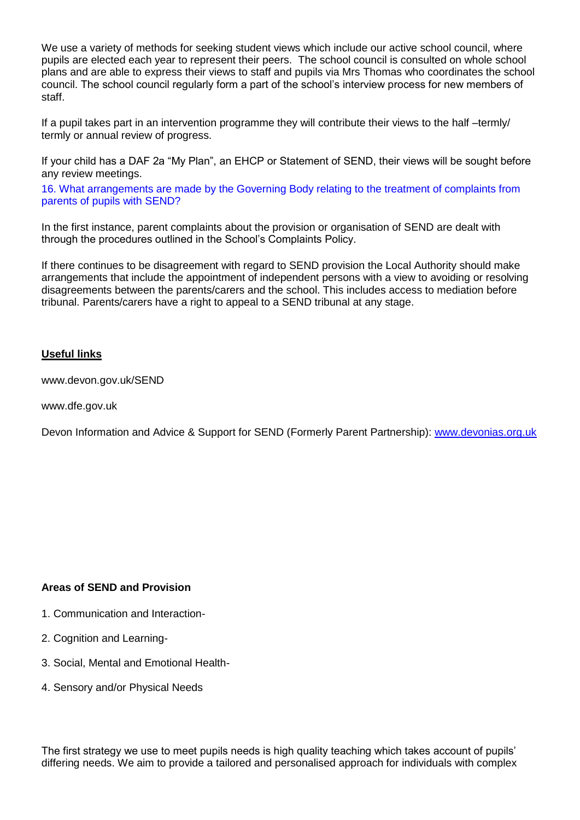We use a variety of methods for seeking student views which include our active school council, where pupils are elected each year to represent their peers. The school council is consulted on whole school plans and are able to express their views to staff and pupils via Mrs Thomas who coordinates the school council. The school council regularly form a part of the school's interview process for new members of staff.

If a pupil takes part in an intervention programme they will contribute their views to the half –termly/ termly or annual review of progress.

If your child has a DAF 2a "My Plan", an EHCP or Statement of SEND, their views will be sought before any review meetings.*•*

16. What arrangements are made by the Governing Body relating to the treatment of complaints from parents of pupils with SEND?

In the first instance, parent complaints about the provision or organisation of SEND are dealt with through the procedures outlined in the School's Complaints Policy.

If there continues to be disagreement with regard to SEND provision the Local Authority should make arrangements that include the appointment of independent persons with a view to avoiding or resolving disagreements between the parents/carers and the school. This includes access to mediation before tribunal. Parents/carers have a right to appeal to a SEND tribunal at any stage.

# **Useful links**

www.devon.gov.uk/SEND

www.dfe.gov.uk

Devon Information and Advice & Support for SEND (Formerly Parent Partnership): [www.devonias.org.uk](http://www.devonias.org.uk/)

## **Areas of SEND and Provision**

- 1. Communication and Interaction-
- 2. Cognition and Learning-
- 3. Social, Mental and Emotional Health-
- 4. Sensory and/or Physical Needs

The first strategy we use to meet pupils needs is high quality teaching which takes account of pupils' differing needs. We aim to provide a tailored and personalised approach for individuals with complex